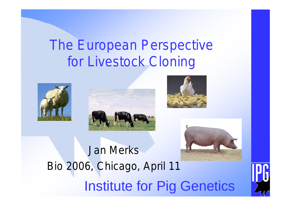# The European Perspective for Livestock Cloning









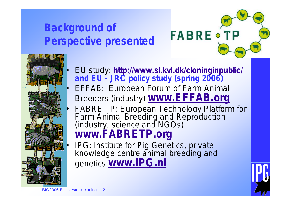### **Background of Perspective presented**





- EU study: **<http://www.sl.kvl.dk/cloninginpublic/> and EU - JRC policy study (spring 2006)**
	- **EFFAB: European Forum of Farm Animal** Breeders (industry) **[www.EFFAB.org](http://www.EFFAB.org)**
- FABRE TP: European Technology Platform for Farm Animal Breeding and Reproduction (industry, science and NGOs) **[www.FABRETP.org](http://www.FABRETP.org)**
- IPG: Institute for Pig Genetics, private knowledge centre animal breeding and genetics **[www.IPG.nl](http://www.IPG.nl)**

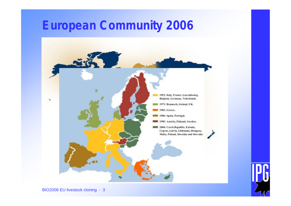### **European Community 2006**





BIO2006 EU livestock cloning - 3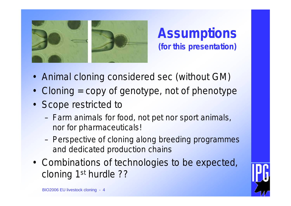

**Assumptions (for this presentation)**

- Animal cloning considered sec (without GM)
- Cloning = copy of genotype, not of phenotype
- Scope restricted to
	- Farm animals for food, not pet nor sport animals, nor for pharmaceuticals!
	- Perspective of cloning along breeding programmes and dedicated production chains
- Combinations of technologies to be expected, cloning 1st hurdle ??

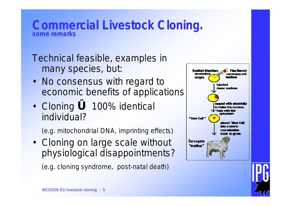#### **Commercial Livestock Cloning. some remarks**

Technical feasible, examples in many species, but:

- No consensus with regard to economic benefits of applications
- Cloning **ó** 100% identical individual?

(e.g. mitochondrial DNA, imprinting effects)

• Cloning on large scale without physiological disappointments?

(e.g. cloning syndrome, post-natal death)



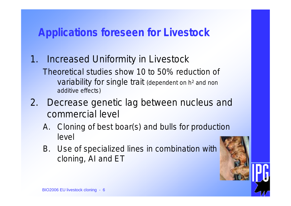### **Applications foreseen for Livestock**

- 1. Increased Uniformity in Livestock Theoretical studies show 10 to 50% reduction of variability for single trait (dependent on h<sup>2</sup> and non additive effects)
- 2. Decrease genetic lag between nucleus and commercial level
	- A. Cloning of best boar(s) and bulls for production level
	- B. Use of specialized lines in combination with cloning, AI and ET

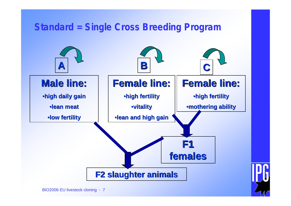#### **Standard = Single Cross Breeding Program**

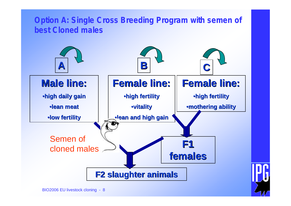![](_page_7_Figure_0.jpeg)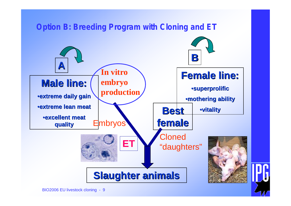![](_page_8_Figure_0.jpeg)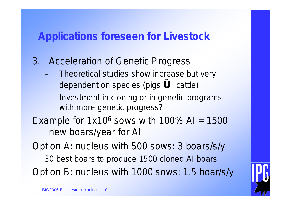#### **Applications foreseen for Livestock**

- 3. Acceleration of Genetic Progress
	- Theoretical studies show increase but very dependent on species (pigs **ó** cattle)
	- Investment in cloning or in genetic programs with more genetic progress?
- Example for  $1x10^6$  sows with  $100\%$  AI =  $1500$ new boars/year for AI

Option A: nucleus with 500 sows: 3 boars/s/y 30 best boars to produce 1500 cloned AI boars Option B: nucleus with 1000 sows: 1.5 boar/s/y

![](_page_9_Picture_6.jpeg)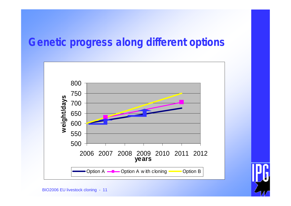### **Genetic progress along different options**

![](_page_10_Figure_1.jpeg)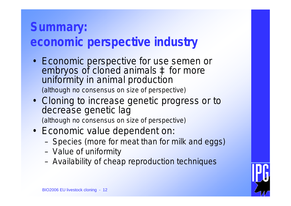### **Summary: economic perspective industry**

- Economic perspective for use semen or embryos of cloned animals à for more uniformity in animal production (although no consensus on size of perspective)
- Cloning to increase genetic progress or to decrease genetic lag (although no consensus on size of perspective)
- Economic value dependent on:
	- Species (more for meat than for milk and eggs)
	- Value of uniformity
	- Availability of cheap reproduction techniques

![](_page_11_Picture_7.jpeg)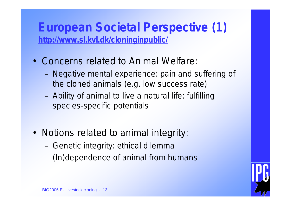### **European Societal Perspective (1) <http://www.sl.kvl.dk/cloninginpublic/>**

- Concerns related to Animal Welfare:
	- Negative mental experience: pain and suffering of the cloned animals (e.g. low success rate)
	- Ability of animal to live a natural life: fulfilling species-specific potentials
- Notions related to animal integrity:
	- Genetic integrity: ethical dilemma
	- (In)dependence of animal from humans

![](_page_12_Picture_7.jpeg)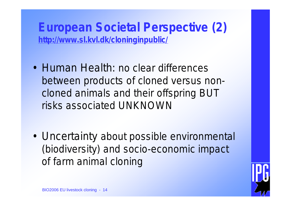**European Societal Perspective (2) <http://www.sl.kvl.dk/cloninginpublic/>**

- Human Health: no clear differences between products of cloned versus noncloned animals and their offspring BUT risks associated UNKNOWN
- Uncertainty about possible environmental (biodiversity) and socio-economic impact of farm animal cloning

![](_page_13_Picture_3.jpeg)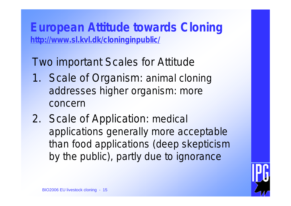**European Attitude towards Cloning <http://www.sl.kvl.dk/cloninginpublic/>**

Two important Scales for Attitude

- 1. Scale of Organism: animal cloning addresses higher organism: more concern
- 2. Scale of Application: medical applications generally more acceptable than food applications (deep skepticism by the public), partly due to ignorance

![](_page_14_Picture_4.jpeg)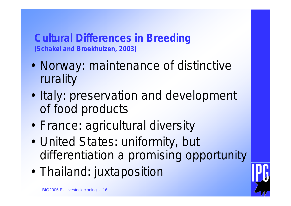**Cultural Differences in Breeding (Schakel and Broekhuizen, 2003)**

- Norway: maintenance of distinctive rurality
- Italy: preservation and development of food products
- France: agricultural diversity
- United States: uniformity, but differentiation a promising opportunity
- Thailand: juxtaposition

![](_page_15_Picture_6.jpeg)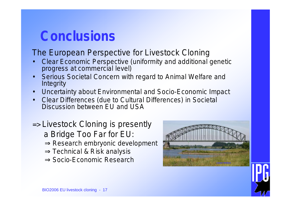## **Conclusions**

#### The European Perspective for Livestock Cloning

- Clear Economic Perspective (uniformity and additional genetic progress at commercial level)
- Serious Societal Concern with regard to Animal Welfare and **Integrity**
- Uncertainty about Environmental and Socio-Economic Impact
- Clear Differences (due to Cultural Differences) in Societal Discussion between EU and USA
- => Livestock Cloning is presently a Bridge Too Far for EU: ⇒Research embryonic development ⇒Technical & Risk analysis **⇒Socio-Economic Research**

![](_page_16_Picture_7.jpeg)

![](_page_16_Picture_8.jpeg)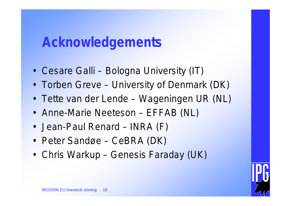## **Acknowledgements**

- Cesare Galli Bologna University (IT)
- Torben Greve University of Denmark (DK)
- Tette van der Lende Wageningen UR (NL)
- Anne-Marie Neeteson EFFAB (NL)
- Jean-Paul Renard INRA (F)
- Peter Sandøe CeBRA (DK)
- Chris Warkup Genesis Faraday (UK)

![](_page_17_Picture_8.jpeg)